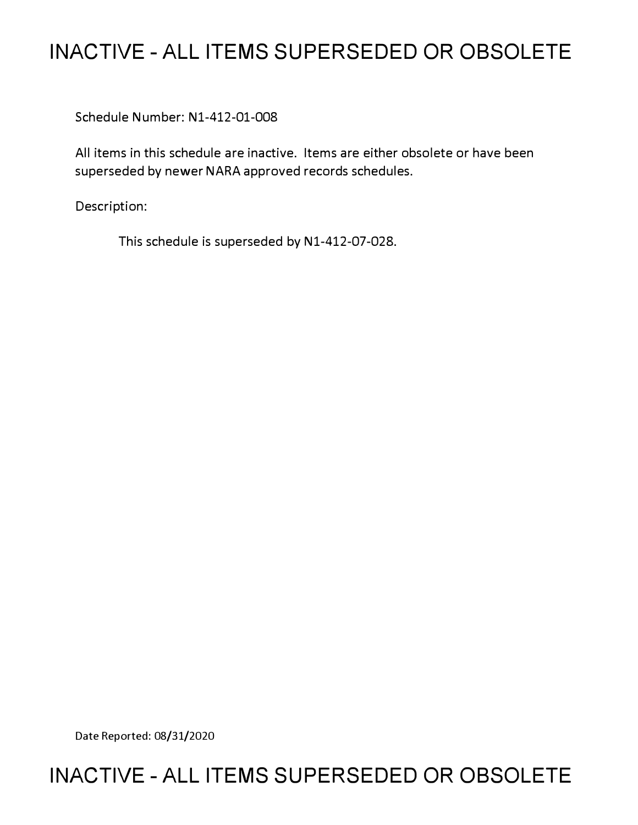# **INACTIVE - ALL ITEMS SUPERSEDED OR OBSOLETE**

Schedule Number: Nl-412-01-008

All items in this schedule are inactive. Items are either obsolete or have been superseded by newer NARA approved records schedules.

Description:

This schedule is superseded by N1-412-07-028.

Date Reported: 08/31/2020

# **INACTIVE - ALL ITEMS SUPERSEDED OR OBSOLETE**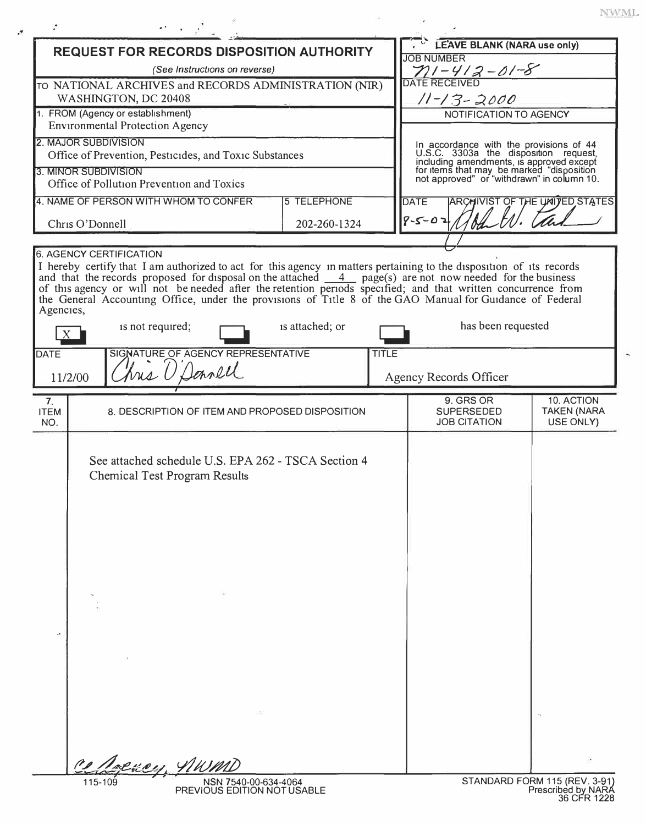$\ensuremath{\text{NWML}}$ 

ä,

|                                      | <b>REQUEST FOR RECORDS DISPOSITION AUTHORITY</b>                                                                                                                                                                                                                                                                                                             |                    |              | <b>LEAVE BLANK (NARA use only)</b><br><b>JOB NUMBER</b>                                                                                                                                                                 |                                               |
|--------------------------------------|--------------------------------------------------------------------------------------------------------------------------------------------------------------------------------------------------------------------------------------------------------------------------------------------------------------------------------------------------------------|--------------------|--------------|-------------------------------------------------------------------------------------------------------------------------------------------------------------------------------------------------------------------------|-----------------------------------------------|
| (See Instructions on reverse)        |                                                                                                                                                                                                                                                                                                                                                              |                    |              | $71 - 412 - 01 - 8$                                                                                                                                                                                                     |                                               |
|                                      | TO NATIONAL ARCHIVES and RECORDS ADMINISTRATION (NIR)                                                                                                                                                                                                                                                                                                        |                    |              |                                                                                                                                                                                                                         |                                               |
| WASHINGTON, DC 20408                 |                                                                                                                                                                                                                                                                                                                                                              |                    |              | 11-13-2000                                                                                                                                                                                                              |                                               |
| 1. FROM (Agency or establishment)    |                                                                                                                                                                                                                                                                                                                                                              |                    |              | NOTIFICATION TO AGENCY                                                                                                                                                                                                  |                                               |
|                                      | <b>Environmental Protection Agency</b>                                                                                                                                                                                                                                                                                                                       |                    |              |                                                                                                                                                                                                                         |                                               |
|                                      | 2. MAJOR SUBDIVISION                                                                                                                                                                                                                                                                                                                                         |                    |              |                                                                                                                                                                                                                         |                                               |
|                                      | Office of Prevention, Pesticides, and Toxic Substances                                                                                                                                                                                                                                                                                                       |                    |              |                                                                                                                                                                                                                         |                                               |
|                                      | 3. MINOR SUBDIVISION<br>Office of Pollution Prevention and Toxics                                                                                                                                                                                                                                                                                            |                    |              | In accordance with the provisions of 44<br>U.S.C. 3303a the disposition request,<br>including amendments, is approved except<br>for items that may be marked "disposition<br>not approved" or "withdrawn" in column 10. |                                               |
|                                      |                                                                                                                                                                                                                                                                                                                                                              |                    |              |                                                                                                                                                                                                                         |                                               |
|                                      | 4. NAME OF PERSON WITH WHOM TO CONFER                                                                                                                                                                                                                                                                                                                        | <b>5 TELEPHONE</b> |              | <b>ARCHIVIST OF THE UNITED STATES</b><br><b>DATE</b>                                                                                                                                                                    |                                               |
| 202-260-1324<br>Chris O'Donnell      |                                                                                                                                                                                                                                                                                                                                                              |                    |              | $8 - 02$                                                                                                                                                                                                                |                                               |
|                                      |                                                                                                                                                                                                                                                                                                                                                              |                    |              |                                                                                                                                                                                                                         |                                               |
| Agencies,                            | I hereby certify that I am authorized to act for this agency in matters pertaining to the disposition of its records<br>and that the records proposed for disposal on the attached 4 page(s) are not now needed for the business<br>of this agency or will not be needed after the retention periods specified; and that written concurrence from<br>the Gen | is attached; or    |              | has been requested                                                                                                                                                                                                      |                                               |
| X                                    | is not required;                                                                                                                                                                                                                                                                                                                                             |                    |              |                                                                                                                                                                                                                         |                                               |
| <b>DATE</b>                          | SIGNATURE OF AGENCY REPRESENTATIVE                                                                                                                                                                                                                                                                                                                           |                    | <b>TITLE</b> |                                                                                                                                                                                                                         |                                               |
|                                      | hrs U Dennell                                                                                                                                                                                                                                                                                                                                                |                    |              |                                                                                                                                                                                                                         |                                               |
| 11/2/00                              |                                                                                                                                                                                                                                                                                                                                                              |                    |              | Agency Records Officer                                                                                                                                                                                                  |                                               |
| 7 <sub>1</sub><br><b>ITEM</b><br>NO. | 8. DESCRIPTION OF ITEM AND PROPOSED DISPOSITION                                                                                                                                                                                                                                                                                                              |                    |              | 9. GRS OR<br><b>SUPERSEDED</b><br><b>JOB CITATION</b>                                                                                                                                                                   | 10. ACTION<br><b>TAKEN (NARA</b><br>USE ONLY) |
|                                      | See attached schedule U.S. EPA 262 - TSCA Section 4<br><b>Chemical Test Program Results</b>                                                                                                                                                                                                                                                                  |                    |              |                                                                                                                                                                                                                         |                                               |
|                                      |                                                                                                                                                                                                                                                                                                                                                              |                    |              |                                                                                                                                                                                                                         |                                               |

 $\label{eq:3.1} \mathcal{B} = \mathcal{B} \otimes \mathcal{B}$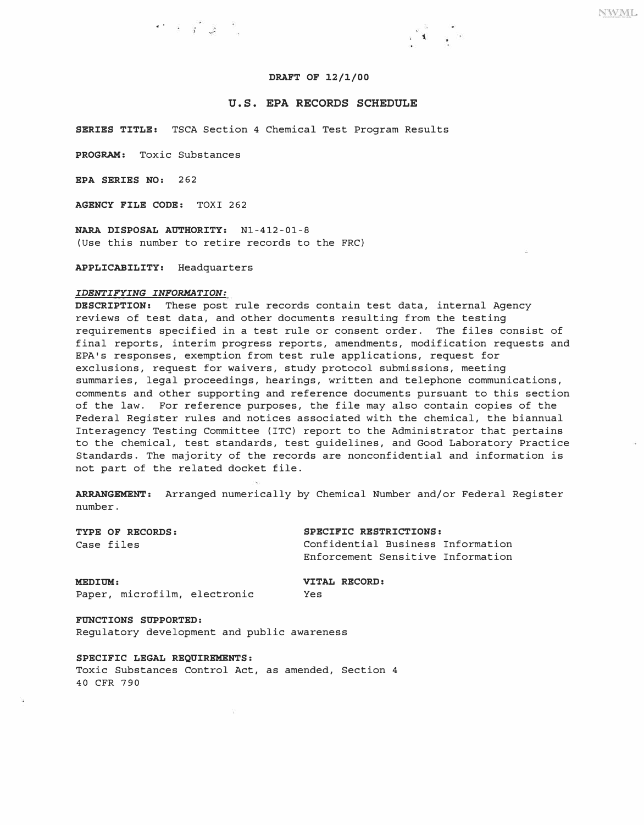### **DRAFT OF 12/1/00**

 $\mathcal{A}^{\mathcal{A}}$  , and

### **U.S. EPA RECORDS SCHEDULE**

**SERIES TITLE:** TSCA Section 4 Chemical Test Program Results

**PROGRAM:** Toxic Substances

**EPA SERIES NO:** 262

**AGENCY FILE CODE:** TOXI 262

**NARA DISPOSAL AUTHORITY:** Nl-412-01-8 (Use this number to retire records to the FRC)

 $\cdot$  +  $\cdot$   $\cdot$   $\cdot$ 

**APPLICABILITY:** Headquarters

#### *IDENTIFYING INFORMATION:*

**DESCRIPTION:** These post rule records contain test data, internal Agency reviews of test data, and other documents resulting from the testing requirements specified in a test rule or consent order. The files consist of final reports, interim progress reports, amendments, modification requests and EPA's responses, exemption from test rule applications, request for exclusions, request for waivers, study protocol submissions, meeting summaries, legal proceedings, hearings, written and telephone communications, comments and other supporting and reference documents pursuant to this section of the law. For reference purposes, the file may also contain copies of the Federal Register rules and notices associated with the chemical, the biannual Interagency Testing Committee (ITC) report to the Administrator that pertains to the chemical, test standards, test guidelines, and Good Laboratory Practice Standards. The majority of the records are nonconfidential and information is not part of the related docket file.

**ARRANGEMENT:** Arranged numerically by Chemical Number and/or Federal Register number.

**TYPE OF RECORDS: SPECIFIC RESTRICTIONS:**  Confidential Business Information Enforcement Sensitive Information

**MEDIUM: VITAL RECORD:**<br>
Paper microfilm electronic Yes

Paper, microfilm, electronic

**FUNCTIONS SUPPORTED:**  Regulatory development and public awareness

**SPECIFIC LEGAL REQUIREMENTS:** 

Toxic Substances Control Act, as amended, Section 4 40 CFR 790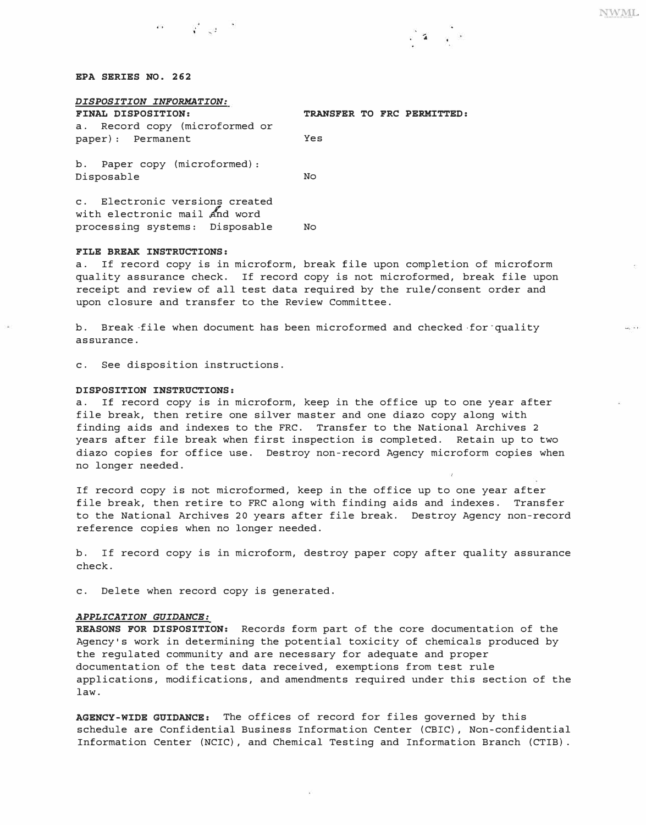$\overline{\omega_{\rm F}}$  , i.e.,

#### *EPA SERIES NO. 262*

| DISPOSITION INFORMATION:                                        |                            |  |  |  |  |  |  |
|-----------------------------------------------------------------|----------------------------|--|--|--|--|--|--|
| FINAL DISPOSITION:                                              | TRANSFER TO FRC PERMITTED: |  |  |  |  |  |  |
| a. Record copy (microformed or                                  |                            |  |  |  |  |  |  |
| paper): Permanent                                               | Yes                        |  |  |  |  |  |  |
| b. Paper copy (microformed):<br>Disposable                      | No                         |  |  |  |  |  |  |
| c. Electronic versions created<br>with electronic mail and word |                            |  |  |  |  |  |  |

#### *FILE BREAK INSTRUCTIONS:*

a. If record copy is in microform, break file upon completion of microform quality assurance check. If record copy is not microformed, break file upon receipt and review of all test data required by the rule/consent order and upon closure and transfer to the Review Committee.

 $\mathbf{A}$ 

b. Break file when document has been microformed and checked for quality assurance.

c. See disposition instructions.

processing systems: Disposable No

 $\alpha$   $\alpha$   $\beta$ 

#### *DISPOSITION INSTRUCTIONS:*

a. If record copy is in microform, keep in the office up to one year after file break, then retire one silver master and one diazo copy along with finding aids and indexes to the FRC. Transfer to the National Archives 2 years after file break when first inspection is completed. Retain up to two diazo copies for office use. Destroy non-record Agency microform copies when no longer needed.

If record copy is not microformed, keep in the office up to one year after file break, then retire to FRC along with finding aids and indexes. Transfer to the National Archives 20 years after file break. Destroy Agency non-record reference copies when no longer needed.

b. If record copy is in microform, destroy paper copy after quality assurance check.

c. Delete when record copy is generated.

#### *APPLICATION GUIDANCE:*

*REASONS FOR DISPOSITION:* Records form part of the core documentation of the Agency's work in determining the potential toxicity of chemicals produced by the regulated community and are necessary for adequate and proper documentation of the test data received, exemptions from test rule applications, modifications, and amendments required under this section of the law.

*AGENCY-WIDE GUIDANCE:* The offices of record for files governed by this schedule are Confidential Business Information Center (CBIC) , Non-confidential Information Center (NCIC) , and Chemical Testing and Information Branch (CTIB) .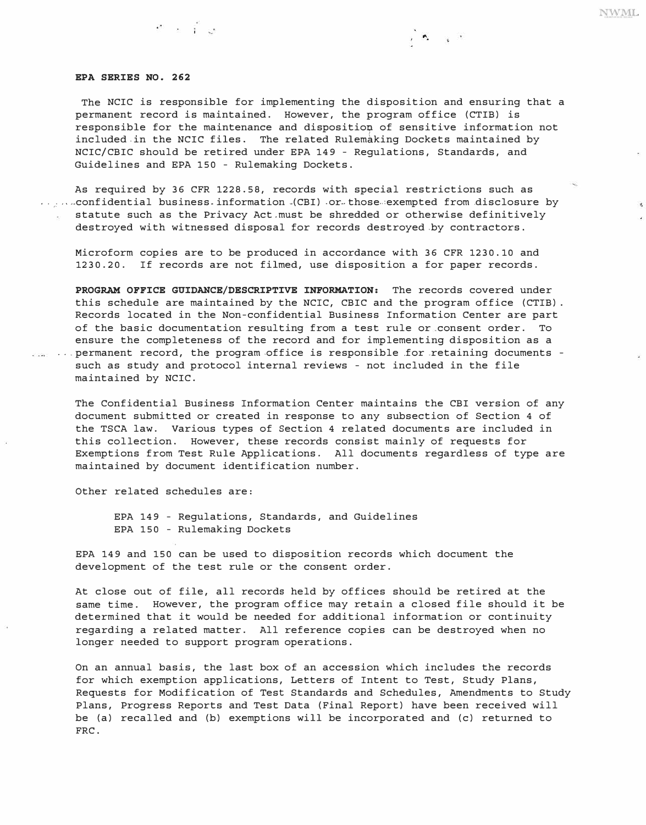#### *EPA SERIES NO. 262*

e is

The NCIC is responsible for implementing the disposition and ensuring that a permanent record is maintained. However, the program office (CTIB) is responsible for the maintenance and disposition of sensitive information not included in the NCIC files. The related Rulemaking Dockets maintained by NCIC/CBIC should be retired under EPA 149 - Regulations, Standards, and Guidelines and EPA 150 - Rulemaking Dockets.

ે જ પાસ

**NWML** 

 $\kappa$ 

As required by 36 CFR 1228. 58, records with special restrictions such as  $\ldots$ , ... confidential business. information . (CBI) or those exempted from disclosure by statute such as the Privacy Act.must be shredded or otherwise definitively destroyed with witnessed disposal for records destroyed .by contractors.

Microform copies are to be produced in accordance with 36 CFR 1230.10 and 1230. 20. If records are not filmed, use disposition a for paper records.

*PROGRAM OFFICE GUIDANCE/DESCRIPTIVE INFORMATION:* The records covered under this schedule are maintained by the NCIC, CBIC and the program office (CTIB). Records located in the Non-confidential Business Information Center are part of the basic documentation resulting from a test rule or consent order. To ensure the completeness of the record and for implementing disposition as a ... ... permanent record, the program office is responsible for retaining documents such as study and protocol internal reviews - not included in the file maintained by NCIC.

The Confidential Business Information Center maintains the CBI version of any document submitted or created in response to any subsection of Section 4 of the TSCA law. Various types of Section 4 related documents are included in this collection. However, these records consist mainly of requests for Exemptions from Test Rule Applications. All documents regardless of type are maintained by document identification number.

Other related schedules are:

EPA 149 - Regulations, Standards, and Guidelines EPA 150 - Rulemaking Dockets

EPA 149 and 150 can be used to disposition records which document the development of the test rule or the consent order.

At close out of file, all records held by offices should be retired at the same time. However, the program office may retain a closed file should it be determined that it would be needed for additional information or continuity regarding a related matter. All reference copies can be destroyed when no longer needed to support program operations.

On an annual basis, the last box of an accession which includes the records for which exemption applications, Letters of Intent to Test, Study Plans, Requests for Modification of Test Standards and Schedules, Amendments to Study Plans, Progress Reports and Test Data (Final Report) have been received will be (a) recalled and (b) exemptions will be incorporated and (c) returned to FRC.